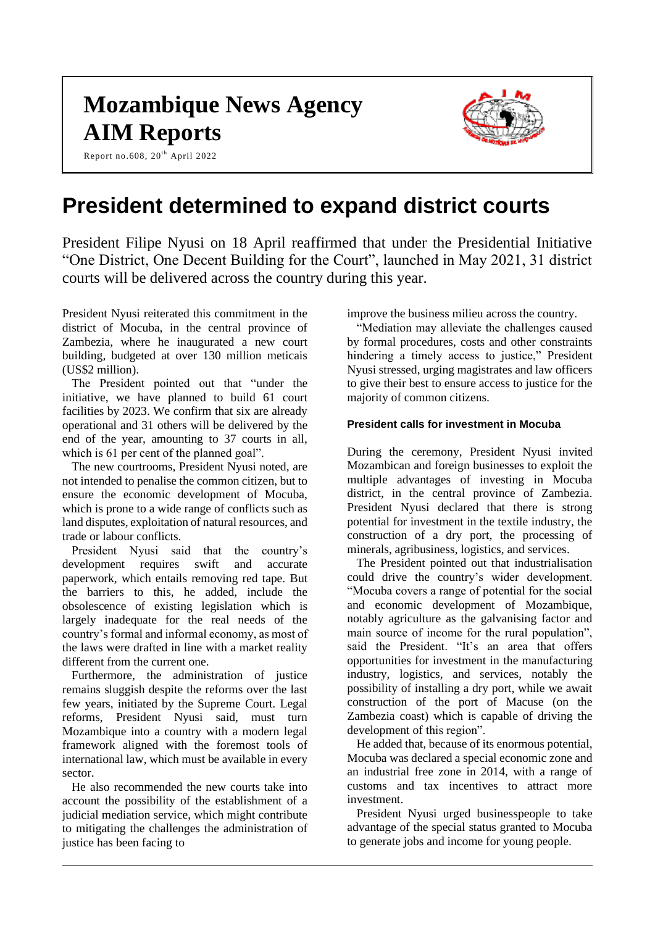# **Mozambique News Agency AIM Reports**

Report no.608,  $20<sup>th</sup>$  April 2022



## **President determined to expand district courts**

President Filipe Nyusi on 18 April reaffirmed that under the Presidential Initiative "One District, One Decent Building for the Court", launched in May 2021, 31 district courts will be delivered across the country during this year.

President Nyusi reiterated this commitment in the district of Mocuba, in the central province of Zambezia, where he inaugurated a new court building, budgeted at over 130 million meticais (US\$2 million).

The President pointed out that "under the initiative, we have planned to build 61 court facilities by 2023. We confirm that six are already operational and 31 others will be delivered by the end of the year, amounting to 37 courts in all, which is 61 per cent of the planned goal".

The new courtrooms, President Nyusi noted, are not intended to penalise the common citizen, but to ensure the economic development of Mocuba, which is prone to a wide range of conflicts such as land disputes, exploitation of natural resources, and trade or labour conflicts.

President Nyusi said that the country's development requires swift and accurate paperwork, which entails removing red tape. But the barriers to this, he added, include the obsolescence of existing legislation which is largely inadequate for the real needs of the country's formal and informal economy, as most of the laws were drafted in line with a market reality different from the current one.

Furthermore, the administration of justice remains sluggish despite the reforms over the last few years, initiated by the Supreme Court. Legal reforms, President Nyusi said, must turn Mozambique into a country with a modern legal framework aligned with the foremost tools of international law, which must be available in every sector.

He also recommended the new courts take into account the possibility of the establishment of a judicial mediation service, which might contribute to mitigating the challenges the administration of justice has been facing to

improve the business milieu across the country.

"Mediation may alleviate the challenges caused by formal procedures, costs and other constraints hindering a timely access to justice," President Nyusi stressed, urging magistrates and law officers to give their best to ensure access to justice for the majority of common citizens.

#### **President calls for investment in Mocuba**

During the ceremony, President Nyusi invited Mozambican and foreign businesses to exploit the multiple advantages of investing in Mocuba district, in the central province of Zambezia. President Nyusi declared that there is strong potential for investment in the textile industry, the construction of a dry port, the processing of minerals, agribusiness, logistics, and services.

The President pointed out that industrialisation could drive the country's wider development. "Mocuba covers a range of potential for the social and economic development of Mozambique, notably agriculture as the galvanising factor and main source of income for the rural population", said the President. "It's an area that offers opportunities for investment in the manufacturing industry, logistics, and services, notably the possibility of installing a dry port, while we await construction of the port of Macuse (on the Zambezia coast) which is capable of driving the development of this region".

He added that, because of its enormous potential, Mocuba was declared a special economic zone and an industrial free zone in 2014, with a range of customs and tax incentives to attract more investment.

President Nyusi urged businesspeople to take advantage of the special status granted to Mocuba to generate jobs and income for young people.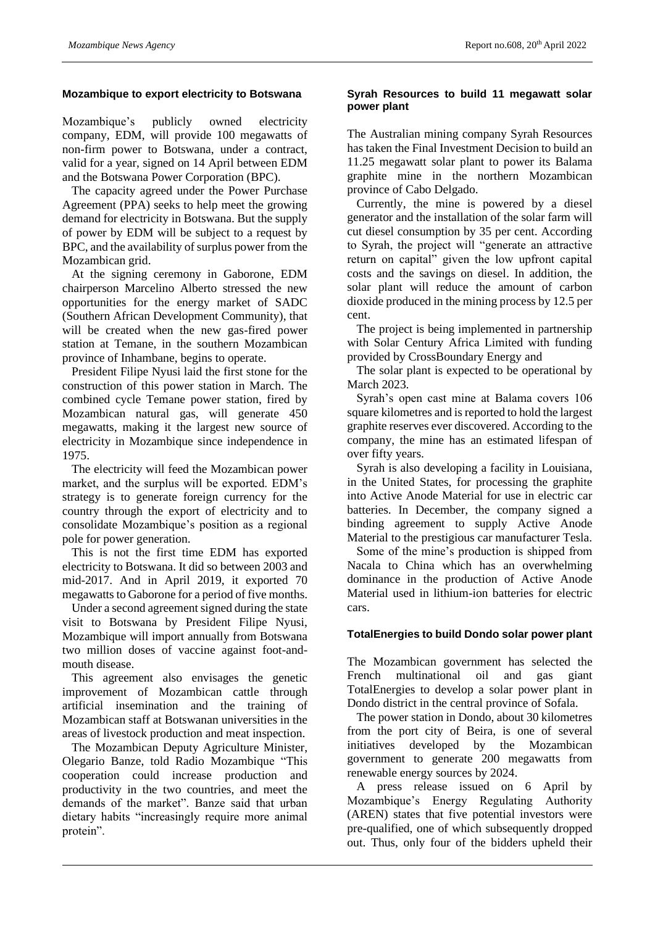#### **Mozambique to export electricity to Botswana**

Mozambique's publicly owned electricity company, EDM, will provide 100 megawatts of non-firm power to Botswana, under a contract, valid for a year, signed on 14 April between EDM and the Botswana Power Corporation (BPC).

The capacity agreed under the Power Purchase Agreement (PPA) seeks to help meet the growing demand for electricity in Botswana. But the supply of power by EDM will be subject to a request by BPC, and the availability of surplus power from the Mozambican grid.

At the signing ceremony in Gaborone, EDM chairperson Marcelino Alberto stressed the new opportunities for the energy market of SADC (Southern African Development Community), that will be created when the new gas-fired power station at Temane, in the southern Mozambican province of Inhambane, begins to operate.

President Filipe Nyusi laid the first stone for the construction of this power station in March. The combined cycle Temane power station, fired by Mozambican natural gas, will generate 450 megawatts, making it the largest new source of electricity in Mozambique since independence in 1975.

The electricity will feed the Mozambican power market, and the surplus will be exported. EDM's strategy is to generate foreign currency for the country through the export of electricity and to consolidate Mozambique's position as a regional pole for power generation.

This is not the first time EDM has exported electricity to Botswana. It did so between 2003 and mid-2017. And in April 2019, it exported 70 megawatts to Gaborone for a period of five months.

Under a second agreement signed during the state visit to Botswana by President Filipe Nyusi, Mozambique will import annually from Botswana two million doses of vaccine against foot-andmouth disease.

This agreement also envisages the genetic improvement of Mozambican cattle through artificial insemination and the training of Mozambican staff at Botswanan universities in the areas of livestock production and meat inspection.

The Mozambican Deputy Agriculture Minister, Olegario Banze, told Radio Mozambique "This cooperation could increase production and productivity in the two countries, and meet the demands of the market". Banze said that urban dietary habits "increasingly require more animal protein".

#### **Syrah Resources to build 11 megawatt solar power plant**

The Australian mining company Syrah Resources has taken the Final Investment Decision to build an 11.25 megawatt solar plant to power its Balama graphite mine in the northern Mozambican province of Cabo Delgado.

Currently, the mine is powered by a diesel generator and the installation of the solar farm will cut diesel consumption by 35 per cent. According to Syrah, the project will "generate an attractive return on capital" given the low upfront capital costs and the savings on diesel. In addition, the solar plant will reduce the amount of carbon dioxide produced in the mining process by 12.5 per cent.

The project is being implemented in partnership with Solar Century Africa Limited with funding provided by CrossBoundary Energy and

The solar plant is expected to be operational by March 2023.

Syrah's open cast mine at Balama covers 106 square kilometres and is reported to hold the largest graphite reserves ever discovered. According to the company, the mine has an estimated lifespan of over fifty years.

Syrah is also developing a facility in Louisiana, in the United States, for processing the graphite into Active Anode Material for use in electric car batteries. In December, the company signed a binding agreement to supply Active Anode Material to the prestigious car manufacturer Tesla.

Some of the mine's production is shipped from Nacala to China which has an overwhelming dominance in the production of Active Anode Material used in lithium-ion batteries for electric cars.

#### **TotalEnergies to build Dondo solar power plant**

The Mozambican government has selected the French multinational oil and gas giant TotalEnergies to develop a solar power plant in Dondo district in the central province of Sofala.

The power station in Dondo, about 30 kilometres from the port city of Beira, is one of several initiatives developed by the Mozambican government to generate 200 megawatts from renewable energy sources by 2024.

A press release issued on 6 April by Mozambique's Energy Regulating Authority (AREN) states that five potential investors were pre-qualified, one of which subsequently dropped out. Thus, only four of the bidders upheld their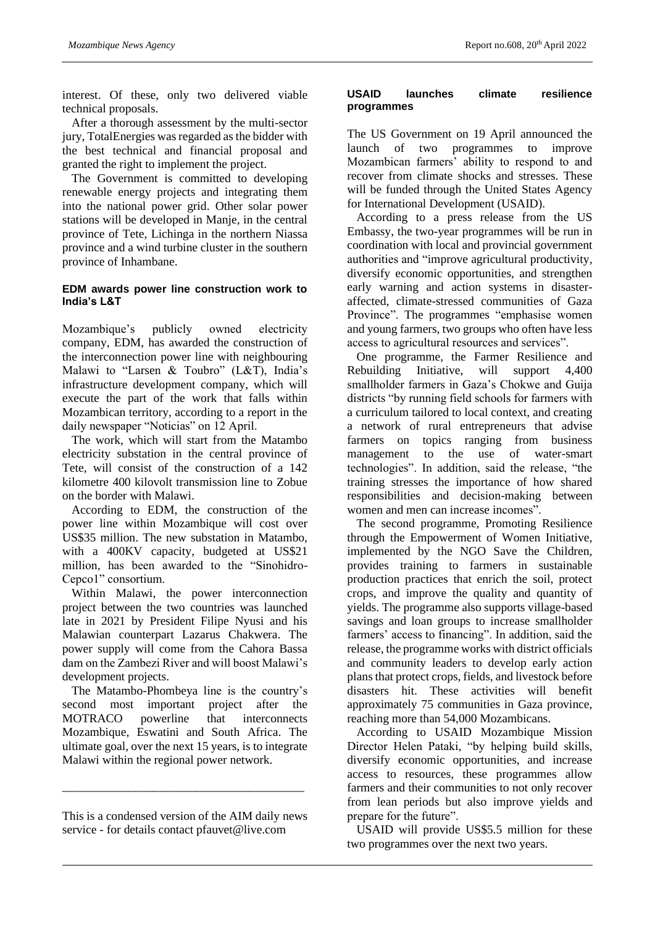interest. Of these, only two delivered viable technical proposals.

After a thorough assessment by the multi-sector jury, TotalEnergies was regarded as the bidder with the best technical and financial proposal and granted the right to implement the project.

The Government is committed to developing renewable energy projects and integrating them into the national power grid. Other solar power stations will be developed in Manje, in the central province of Tete, Lichinga in the northern Niassa province and a wind turbine cluster in the southern province of Inhambane.

#### **EDM awards power line construction work to India's L&T**

Mozambique's publicly owned electricity company, EDM, has awarded the construction of the interconnection power line with neighbouring Malawi to "Larsen & Toubro" (L&T), India's infrastructure development company, which will execute the part of the work that falls within Mozambican territory, according to a report in the daily newspaper "Noticias" on 12 April.

The work, which will start from the Matambo electricity substation in the central province of Tete, will consist of the construction of a 142 kilometre 400 kilovolt transmission line to Zobue on the border with Malawi.

According to EDM, the construction of the power line within Mozambique will cost over US\$35 million. The new substation in Matambo, with a 400KV capacity, budgeted at US\$21 million, has been awarded to the "Sinohidro-Cepco1" consortium.

Within Malawi, the power interconnection project between the two countries was launched late in 2021 by President Filipe Nyusi and his Malawian counterpart Lazarus Chakwera. The power supply will come from the Cahora Bassa dam on the Zambezi River and will boost Malawi's development projects.

The Matambo-Phombeya line is the country's second most important project after the MOTRACO powerline that interconnects Mozambique, Eswatini and South Africa. The ultimate goal, over the next 15 years, is to integrate Malawi within the regional power network.

\_\_\_\_\_\_\_\_\_\_\_\_\_\_\_\_\_\_\_\_\_\_\_\_\_\_\_\_\_\_\_\_\_\_\_\_\_\_\_\_

#### **USAID launches climate resilience programmes**

The US Government on 19 April announced the launch of two programmes to improve Mozambican farmers' ability to respond to and recover from climate shocks and stresses. These will be funded through the United States Agency for International Development (USAID).

According to a press release from the US Embassy, the two-year programmes will be run in coordination with local and provincial government authorities and "improve agricultural productivity, diversify economic opportunities, and strengthen early warning and action systems in disasteraffected, climate-stressed communities of Gaza Province". The programmes "emphasise women and young farmers, two groups who often have less access to agricultural resources and services".

One programme, the Farmer Resilience and Rebuilding Initiative, will support 4,400 smallholder farmers in Gaza's Chokwe and Guija districts "by running field schools for farmers with a curriculum tailored to local context, and creating a network of rural entrepreneurs that advise farmers on topics ranging from business management to the use of water-smart technologies". In addition, said the release, "the training stresses the importance of how shared responsibilities and decision-making between women and men can increase incomes".

The second programme, Promoting Resilience through the Empowerment of Women Initiative, implemented by the NGO Save the Children, provides training to farmers in sustainable production practices that enrich the soil, protect crops, and improve the quality and quantity of yields. The programme also supports village-based savings and loan groups to increase smallholder farmers' access to financing". In addition, said the release, the programme works with district officials and community leaders to develop early action plans that protect crops, fields, and livestock before disasters hit. These activities will benefit approximately 75 communities in Gaza province, reaching more than 54,000 Mozambicans.

According to USAID Mozambique Mission Director Helen Pataki, "by helping build skills, diversify economic opportunities, and increase access to resources, these programmes allow farmers and their communities to not only recover from lean periods but also improve yields and prepare for the future".

USAID will provide US\$5.5 million for these two programmes over the next two years.

This is a condensed version of the AIM daily news service - for details contact pfauvet@live.com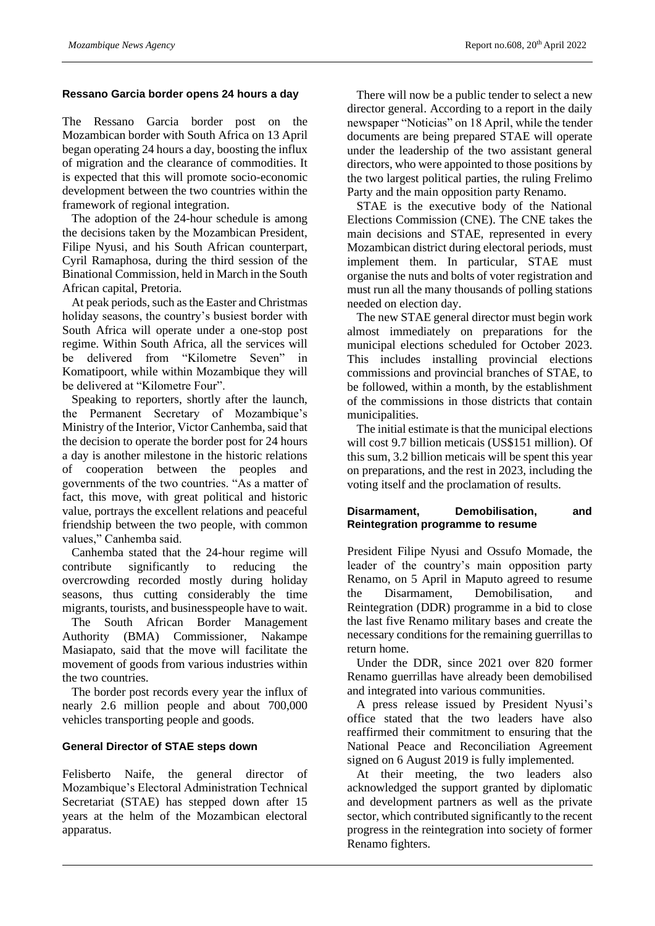#### **Ressano Garcia border opens 24 hours a day**

The Ressano Garcia border post on the Mozambican border with South Africa on 13 April began operating 24 hours a day, boosting the influx of migration and the clearance of commodities. It is expected that this will promote socio-economic development between the two countries within the framework of regional integration.

The adoption of the 24-hour schedule is among the decisions taken by the Mozambican President, Filipe Nyusi, and his South African counterpart, Cyril Ramaphosa, during the third session of the Binational Commission, held in March in the South African capital, Pretoria.

At peak periods, such as the Easter and Christmas holiday seasons, the country's busiest border with South Africa will operate under a one-stop post regime. Within South Africa, all the services will be delivered from "Kilometre Seven" in Komatipoort, while within Mozambique they will be delivered at "Kilometre Four".

Speaking to reporters, shortly after the launch, the Permanent Secretary of Mozambique's Ministry of the Interior, Victor Canhemba, said that the decision to operate the border post for 24 hours a day is another milestone in the historic relations of cooperation between the peoples and governments of the two countries. "As a matter of fact, this move, with great political and historic value, portrays the excellent relations and peaceful friendship between the two people, with common values," Canhemba said.

Canhemba stated that the 24-hour regime will contribute significantly to reducing the overcrowding recorded mostly during holiday seasons, thus cutting considerably the time migrants, tourists, and businesspeople have to wait.

The South African Border Management Authority (BMA) Commissioner, Nakampe Masiapato, said that the move will facilitate the movement of goods from various industries within the two countries.

The border post records every year the influx of nearly 2.6 million people and about 700,000 vehicles transporting people and goods.

#### **General Director of STAE steps down**

Felisberto Naife, the general director of Mozambique's Electoral Administration Technical Secretariat (STAE) has stepped down after 15 years at the helm of the Mozambican electoral apparatus.

There will now be a public tender to select a new director general. According to a report in the daily newspaper "Noticias" on 18 April, while the tender documents are being prepared STAE will operate under the leadership of the two assistant general directors, who were appointed to those positions by the two largest political parties, the ruling Frelimo Party and the main opposition party Renamo.

STAE is the executive body of the National Elections Commission (CNE). The CNE takes the main decisions and STAE, represented in every Mozambican district during electoral periods, must implement them. In particular, STAE must organise the nuts and bolts of voter registration and must run all the many thousands of polling stations needed on election day.

The new STAE general director must begin work almost immediately on preparations for the municipal elections scheduled for October 2023. This includes installing provincial elections commissions and provincial branches of STAE, to be followed, within a month, by the establishment of the commissions in those districts that contain municipalities.

The initial estimate is that the municipal elections will cost 9.7 billion meticais (US\$151 million). Of this sum, 3.2 billion meticais will be spent this year on preparations, and the rest in 2023, including the voting itself and the proclamation of results.

#### **Disarmament, Demobilisation, and Reintegration programme to resume**

President Filipe Nyusi and Ossufo Momade, the leader of the country's main opposition party Renamo, on 5 April in Maputo agreed to resume the Disarmament, Demobilisation, and Reintegration (DDR) programme in a bid to close the last five Renamo military bases and create the necessary conditions for the remaining guerrillas to return home.

Under the DDR, since 2021 over 820 former Renamo guerrillas have already been demobilised and integrated into various communities.

A press release issued by President Nyusi's office stated that the two leaders have also reaffirmed their commitment to ensuring that the National Peace and Reconciliation Agreement signed on 6 August 2019 is fully implemented.

At their meeting, the two leaders also acknowledged the support granted by diplomatic and development partners as well as the private sector, which contributed significantly to the recent progress in the reintegration into society of former Renamo fighters.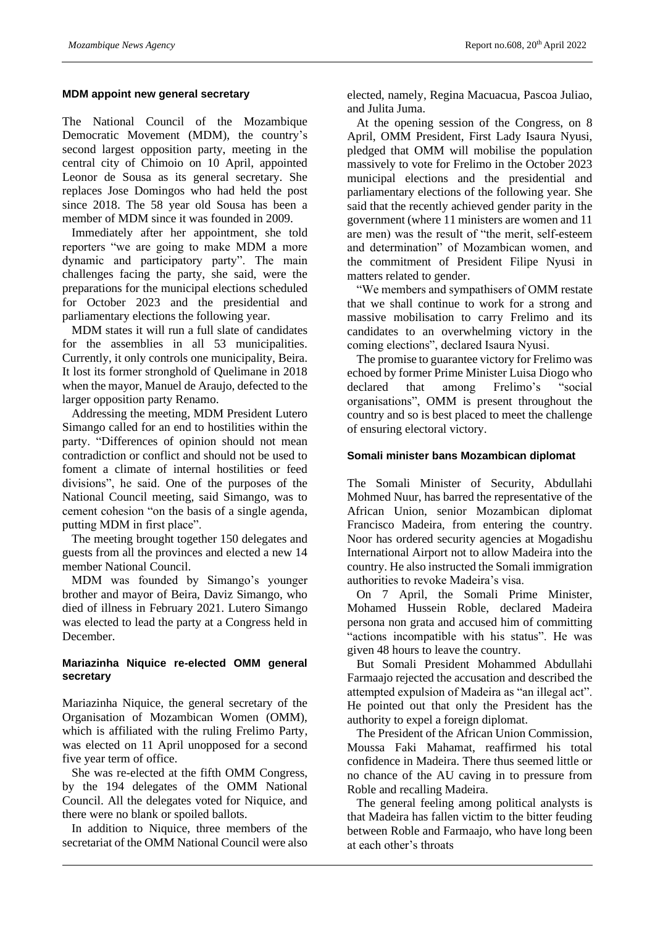#### **MDM appoint new general secretary**

The National Council of the Mozambique Democratic Movement (MDM), the country's second largest opposition party, meeting in the central city of Chimoio on 10 April, appointed Leonor de Sousa as its general secretary. She replaces Jose Domingos who had held the post since 2018. The 58 year old Sousa has been a member of MDM since it was founded in 2009.

Immediately after her appointment, she told reporters "we are going to make MDM a more dynamic and participatory party". The main challenges facing the party, she said, were the preparations for the municipal elections scheduled for October 2023 and the presidential and parliamentary elections the following year.

MDM states it will run a full slate of candidates for the assemblies in all 53 municipalities. Currently, it only controls one municipality, Beira. It lost its former stronghold of Quelimane in 2018 when the mayor, Manuel de Araujo, defected to the larger opposition party Renamo.

Addressing the meeting, MDM President Lutero Simango called for an end to hostilities within the party. "Differences of opinion should not mean contradiction or conflict and should not be used to foment a climate of internal hostilities or feed divisions", he said. One of the purposes of the National Council meeting, said Simango, was to cement cohesion "on the basis of a single agenda, putting MDM in first place".

The meeting brought together 150 delegates and guests from all the provinces and elected a new 14 member National Council.

MDM was founded by Simango's younger brother and mayor of Beira, Daviz Simango, who died of illness in February 2021. Lutero Simango was elected to lead the party at a Congress held in December.

#### **Mariazinha Niquice re-elected OMM general secretary**

Mariazinha Niquice, the general secretary of the Organisation of Mozambican Women (OMM), which is affiliated with the ruling Frelimo Party, was elected on 11 April unopposed for a second five year term of office.

She was re-elected at the fifth OMM Congress, by the 194 delegates of the OMM National Council. All the delegates voted for Niquice, and there were no blank or spoiled ballots.

In addition to Niquice, three members of the secretariat of the OMM National Council were also

elected, namely, Regina Macuacua, Pascoa Juliao, and Julita Juma.

At the opening session of the Congress, on 8 April, OMM President, First Lady Isaura Nyusi, pledged that OMM will mobilise the population massively to vote for Frelimo in the October 2023 municipal elections and the presidential and parliamentary elections of the following year. She said that the recently achieved gender parity in the government (where 11 ministers are women and 11 are men) was the result of "the merit, self-esteem and determination" of Mozambican women, and the commitment of President Filipe Nyusi in matters related to gender.

"We members and sympathisers of OMM restate that we shall continue to work for a strong and massive mobilisation to carry Frelimo and its candidates to an overwhelming victory in the coming elections", declared Isaura Nyusi.

The promise to guarantee victory for Frelimo was echoed by former Prime Minister Luisa Diogo who declared that among Frelimo's "social organisations", OMM is present throughout the country and so is best placed to meet the challenge of ensuring electoral victory.

#### **Somali minister bans Mozambican diplomat**

The Somali Minister of Security, Abdullahi Mohmed Nuur, has barred the representative of the African Union, senior Mozambican diplomat Francisco Madeira, from entering the country. Noor has ordered security agencies at Mogadishu International Airport not to allow Madeira into the country. He also instructed the Somali immigration authorities to revoke Madeira's visa.

On 7 April, the Somali Prime Minister, Mohamed Hussein Roble, declared Madeira persona non grata and accused him of committing "actions incompatible with his status". He was given 48 hours to leave the country.

But Somali President Mohammed Abdullahi Farmaajo rejected the accusation and described the attempted expulsion of Madeira as "an illegal act". He pointed out that only the President has the authority to expel a foreign diplomat.

The President of the African Union Commission, Moussa Faki Mahamat, reaffirmed his total confidence in Madeira. There thus seemed little or no chance of the AU caving in to pressure from Roble and recalling Madeira.

The general feeling among political analysts is that Madeira has fallen victim to the bitter feuding between Roble and Farmaajo, who have long been at each other's throats